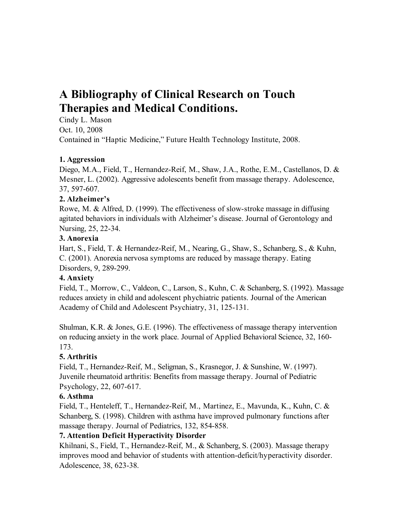# **A Bibliography of Clinical Research on Touch Therapies and Medical Conditions.**

Cindy L. Mason Oct. 10, 2008 Contained in "Haptic Medicine," Future Health Technology Institute, 2008.

### **1. Aggression**

Diego, M.A., Field, T., Hernandez-Reif, M., Shaw, J.A., Rothe, E.M., Castellanos, D. & Mesner, L. (2002). Aggressive adolescents benefit from massage therapy. Adolescence, 37, 597-607.

# **2. Alzheimer's**

Rowe, M. & Alfred, D. (1999). The effectiveness of slow-stroke massage in diffusing agitated behaviors in individuals with Alzheimer's disease. Journal of Gerontology and Nursing, 25, 22-34.

# **3. Anorexia**

Hart, S., Field, T. & Hernandez-Reif, M., Nearing, G., Shaw, S., Schanberg, S., & Kuhn, C. (2001). Anorexia nervosa symptoms are reduced by massage therapy. Eating Disorders, 9, 289-299.

# **4. Anxiety**

Field, T., Morrow, C., Valdeon, C., Larson, S., Kuhn, C. & Schanberg, S. (1992). Massage reduces anxiety in child and adolescent phychiatric patients. Journal of the American Academy of Child and Adolescent Psychiatry, 31, 125-131.

Shulman, K.R. & Jones, G.E. (1996). The effectiveness of massage therapy intervention on reducing anxiety in the work place. Journal of Applied Behavioral Science, 32, 160- 173.

# **5. Arthritis**

Field, T., Hernandez-Reif, M., Seligman, S., Krasnegor, J. & Sunshine, W. (1997). Juvenile rheumatoid arthritis: Benefits from massage therapy. Journal of Pediatric Psychology, 22, 607-617.

# **6. Asthma**

Field, T., Henteleff, T., Hernandez-Reif, M., Martinez, E., Mavunda, K., Kuhn, C. & Schanberg, S. (1998). Children with asthma have improved pulmonary functions after massage therapy. Journal of Pediatrics, 132, 854-858.

# **7. Attention Deficit Hyperactivity Disorder**

Khilnani, S., Field, T., Hernandez-Reif, M., & Schanberg, S. (2003). Massage therapy improves mood and behavior of students with attention-deficit/hyperactivity disorder. Adolescence, 38, 623-38.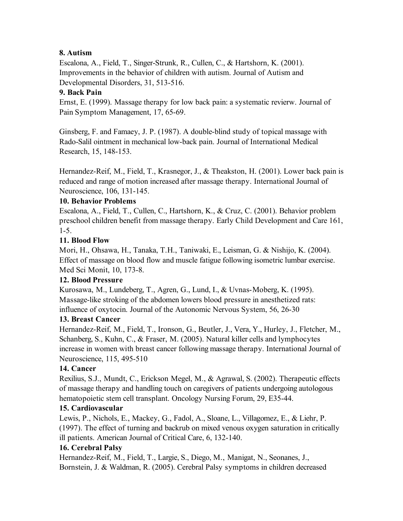### **8. Autism**

Escalona, A., Field, T., Singer-Strunk, R., Cullen, C., & Hartshorn, K. (2001). Improvements in the behavior of children with autism. Journal of Autism and Developmental Disorders, 31, 513-516.

#### **9. Back Pain**

Ernst, E. (1999). Massage therapy for low back pain: a systematic revierw. Journal of Pain Symptom Management, 17, 65-69.

Ginsberg, F. and Famaey, J. P. (1987). A double-blind study of topical massage with Rado-Salil ointment in mechanical low-back pain. Journal of International Medical Research, 15, 148-153.

Hernandez-Reif, M., Field, T., Krasnegor, J., & Theakston, H. (2001). Lower back pain is reduced and range of motion increased after massage therapy. International Journal of Neuroscience, 106, 131-145.

#### **10. Behavior Problems**

Escalona, A., Field, T., Cullen, C., Hartshorn, K., & Cruz, C. (2001). Behavior problem preschool children benefit from massage therapy. Early Child Development and Care 161, 1-5.

#### **11. Blood Flow**

Mori, H., Ohsawa, H., Tanaka, T.H., Taniwaki, E., Leisman, G. & Nishijo, K. (2004). Effect of massage on blood flow and muscle fatigue following isometric lumbar exercise. Med Sci Monit, 10, 173-8.

### **12. Blood Pressure**

Kurosawa, M., Lundeberg, T., Agren, G., Lund, I., & Uvnas-Moberg, K. (1995). Massage-like stroking of the abdomen lowers blood pressure in anesthetized rats: influence of oxytocin. Journal of the Autonomic Nervous System, 56, 26-30

#### **13. Breast Cancer**

Hernandez-Reif, M., Field, T., Ironson, G., Beutler, J., Vera, Y., Hurley, J., Fletcher, M., Schanberg, S., Kuhn, C., & Fraser, M. (2005). Natural killer cells and lymphocytes increase in women with breast cancer following massage therapy. International Journal of Neuroscience, 115, 495-510

#### **14. Cancer**

Rexilius, S.J., Mundt, C., Erickson Megel, M., & Agrawal, S. (2002). Therapeutic effects of massage therapy and handling touch on caregivers of patients undergoing autologous hematopoietic stem cell transplant. Oncology Nursing Forum, 29, E35-44.

### **15. Cardiovascular**

Lewis, P., Nichols, E., Mackey, G., Fadol, A., Sloane, L., Villagomez, E., & Liehr, P. (1997). The effect of turning and backrub on mixed venous oxygen saturation in critically ill patients. American Journal of Critical Care, 6, 132-140.

### **16. Cerebral Palsy**

Hernandez-Reif, M., Field, T., Largie, S., Diego, M., Manigat, N., Seonanes, J., Bornstein, J. & Waldman, R. (2005). Cerebral Palsy symptoms in children decreased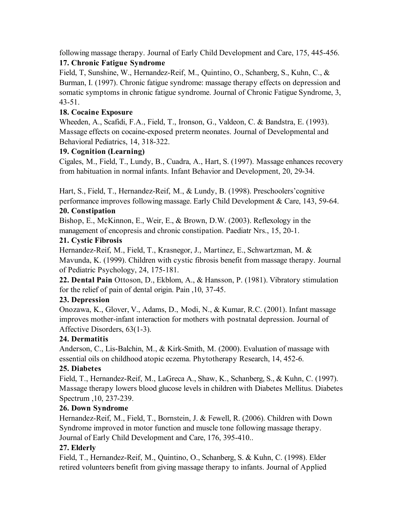following massage therapy. Journal of Early Child Development and Care, 175, 445-456. **17. Chronic Fatigue Syndrome**

Field, T, Sunshine, W., Hernandez-Reif, M., Quintino, O., Schanberg, S., Kuhn, C., & Burman, I. (1997). Chronic fatigue syndrome: massage therapy effects on depression and somatic symptoms in chronic fatigue syndrome. Journal of Chronic Fatigue Syndrome, 3, 43-51.

# **18. Cocaine Exposure**

Wheeden, A., Scafidi, F.A., Field, T., Ironson, G., Valdeon, C. & Bandstra, E. (1993). Massage effects on cocaine-exposed preterm neonates. Journal of Developmental and Behavioral Pediatrics, 14, 318-322.

### **19. Cognition (Learning)**

Cigales, M., Field, T., Lundy, B., Cuadra, A., Hart, S. (1997). Massage enhances recovery from habituation in normal infants. Infant Behavior and Development, 20, 29-34.

Hart, S., Field, T., Hernandez-Reif, M., & Lundy, B. (1998). Preschoolers'cognitive performance improves following massage. Early Child Development & Care, 143, 59-64.

# **20. Constipation**

Bishop, E., McKinnon, E., Weir, E., & Brown, D.W. (2003). Reflexology in the management of encopresis and chronic constipation. Paediatr Nrs., 15, 20-1.

### **21. Cystic Fibrosis**

Hernandez-Reif, M., Field, T., Krasnegor, J., Martinez, E., Schwartzman, M. & Mavunda, K. (1999). Children with cystic fibrosis benefit from massage therapy. Journal of Pediatric Psychology, 24, 175-181.

**22. Dental Pain** Ottoson, D., Ekblom, A., & Hansson, P. (1981). Vibratory stimulation for the relief of pain of dental origin. Pain ,10, 37-45.

# **23. Depression**

Onozawa, K., Glover, V., Adams, D., Modi, N., & Kumar, R.C. (2001). Infant massage improves mother-infant interaction for mothers with postnatal depression. Journal of Affective Disorders, 63(1-3).

# **24. Dermatitis**

Anderson, C., Lis-Balchin, M., & Kirk-Smith, M. (2000). Evaluation of massage with essential oils on childhood atopic eczema. Phytotherapy Research, 14, 452-6.

### **25. Diabetes**

Field, T., Hernandez-Reif, M., LaGreca A., Shaw, K., Schanberg, S., & Kuhn, C. (1997). Massage therapy lowers blood glucose levels in children with Diabetes Mellitus. Diabetes Spectrum ,10, 237-239.

# **26. Down Syndrome**

Hernandez-Reif, M., Field, T., Bornstein, J. & Fewell, R. (2006). Children with Down Syndrome improved in motor function and muscle tone following massage therapy. Journal of Early Child Development and Care, 176, 395-410..

# **27. Elderly**

Field, T., Hernandez-Reif, M., Quintino, O., Schanberg, S. & Kuhn, C. (1998). Elder retired volunteers benefit from giving massage therapy to infants. Journal of Applied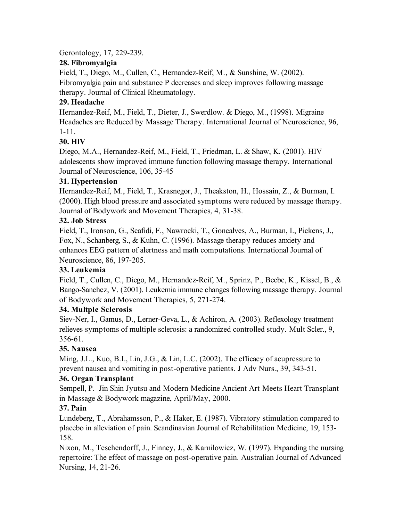Gerontology, 17, 229-239.

### **28. Fibromyalgia**

Field, T., Diego, M., Cullen, C., Hernandez-Reif, M., & Sunshine, W. (2002). Fibromyalgia pain and substance P decreases and sleep improves following massage therapy. Journal of Clinical Rheumatology.

# **29. Headache**

Hernandez-Reif, M., Field, T., Dieter, J., Swerdlow. & Diego, M., (1998). Migraine Headaches are Reduced by Massage Therapy. International Journal of Neuroscience, 96, 1-11.

# **30. HIV**

Diego, M.A., Hernandez-Reif, M., Field, T., Friedman, L. & Shaw, K. (2001). HIV adolescents show improved immune function following massage therapy. International Journal of Neuroscience, 106, 35-45

# **31. Hypertension**

Hernandez-Reif, M., Field, T., Krasnegor, J., Theakston, H., Hossain, Z., & Burman, I. (2000). High blood pressure and associated symptoms were reduced by massage therapy. Journal of Bodywork and Movement Therapies, 4, 31-38.

### **32. Job Stress**

Field, T., Ironson, G., Scafidi, F., Nawrocki, T., Goncalves, A., Burman, I., Pickens, J., Fox, N., Schanberg, S., & Kuhn, C. (1996). Massage therapy reduces anxiety and enhances EEG pattern of alertness and math computations. International Journal of Neuroscience, 86, 197-205.

### **33. Leukemia**

Field, T., Cullen, C., Diego, M., Hernandez-Reif, M., Sprinz, P., Beebe, K., Kissel, B., & Bango-Sanchez, V. (2001). Leukemia immune changes following massage therapy. Journal of Bodywork and Movement Therapies, 5, 271-274.

### **34. Multple Sclerosis**

Siev-Ner, I., Gamus, D., Lerner-Geva, L., & Achiron, A. (2003). Reflexology treatment relieves symptoms of multiple sclerosis: a randomized controlled study. Mult Scler., 9, 356-61.

### **35. Nausea**

Ming, J.L., Kuo, B.I., Lin, J.G., & Lin, L.C. (2002). The efficacy of acupressure to prevent nausea and vomiting in post-operative patients. J Adv Nurs., 39, 343-51.

### **36. Organ Transplant**

Sempell, P. Jin Shin Jyutsu and Modern Medicine Ancient Art Meets Heart Transplant in Massage & Bodywork magazine, April/May, 2000.

# **37. Pain**

Lundeberg, T., Abrahamsson, P., & Haker, E. (1987). Vibratory stimulation compared to placebo in alleviation of pain. Scandinavian Journal of Rehabilitation Medicine, 19, 153- 158.

Nixon, M., Teschendorff, J., Finney, J., & Karnilowicz, W. (1997). Expanding the nursing repertoire: The effect of massage on post-operative pain. Australian Journal of Advanced Nursing, 14, 21-26.